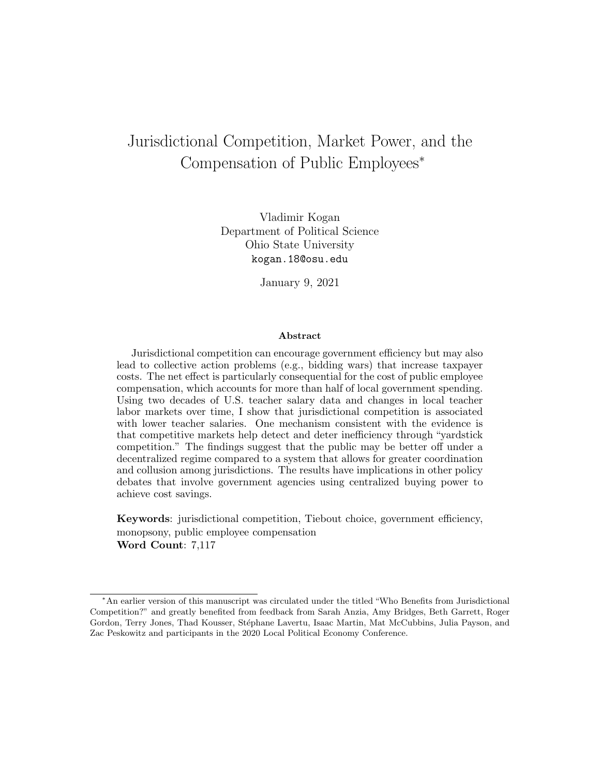# Jurisdictional Competition, Market Power, and the Compensation of Public Employees<sup>∗</sup>

Vladimir Kogan Department of Political Science Ohio State University kogan.18@osu.edu

January 9, 2021

#### Abstract

Jurisdictional competition can encourage government efficiency but may also lead to collective action problems (e.g., bidding wars) that increase taxpayer costs. The net effect is particularly consequential for the cost of public employee compensation, which accounts for more than half of local government spending. Using two decades of U.S. teacher salary data and changes in local teacher labor markets over time, I show that jurisdictional competition is associated with lower teacher salaries. One mechanism consistent with the evidence is that competitive markets help detect and deter inefficiency through "yardstick competition." The findings suggest that the public may be better off under a decentralized regime compared to a system that allows for greater coordination and collusion among jurisdictions. The results have implications in other policy debates that involve government agencies using centralized buying power to achieve cost savings.

Keywords: jurisdictional competition, Tiebout choice, government efficiency, monopsony, public employee compensation Word Count: 7,117

<sup>∗</sup>An earlier version of this manuscript was circulated under the titled "Who Benefits from Jurisdictional Competition?" and greatly benefited from feedback from Sarah Anzia, Amy Bridges, Beth Garrett, Roger Gordon, Terry Jones, Thad Kousser, Stéphane Lavertu, Isaac Martin, Mat McCubbins, Julia Payson, and Zac Peskowitz and participants in the 2020 Local Political Economy Conference.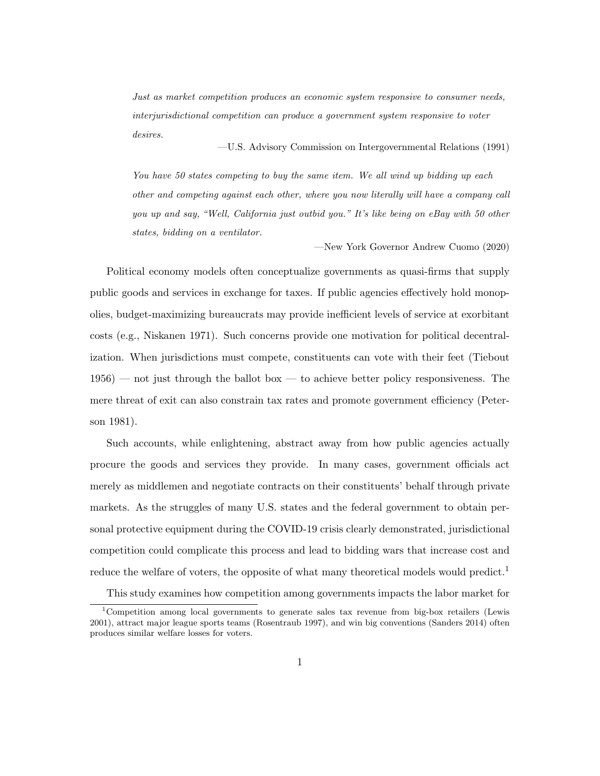Just as market competition produces an economic system responsive to consumer needs, interjurisdictional competition can produce a government system responsive to voter desires.

—U.S. Advisory Commission on Intergovernmental Relations (1991)

You have 50 states competing to buy the same item. We all wind up bidding up each other and competing against each other, where you now literally will have a company call you up and say, "Well, California just outbid you." It's like being on eBay with 50 other states, bidding on a ventilator.

—New York Governor Andrew Cuomo (2020)

Political economy models often conceptualize governments as quasi-firms that supply public goods and services in exchange for taxes. If public agencies effectively hold monopolies, budget-maximizing bureaucrats may provide inefficient levels of service at exorbitant costs (e.g., Niskanen 1971). Such concerns provide one motivation for political decentralization. When jurisdictions must compete, constituents can vote with their feet (Tiebout 1956) — not just through the ballot box — to achieve better policy responsiveness. The mere threat of exit can also constrain tax rates and promote government efficiency (Peterson 1981).

Such accounts, while enlightening, abstract away from how public agencies actually procure the goods and services they provide. In many cases, government officials act merely as middlemen and negotiate contracts on their constituents' behalf through private markets. As the struggles of many U.S. states and the federal government to obtain personal protective equipment during the COVID-19 crisis clearly demonstrated, jurisdictional competition could complicate this process and lead to bidding wars that increase cost and reduce the welfare of voters, the opposite of what many theoretical models would predict.<sup>1</sup>

This study examines how competition among governments impacts the labor market for

<sup>1</sup>Competition among local governments to generate sales tax revenue from big-box retailers (Lewis 2001), attract major league sports teams (Rosentraub 1997), and win big conventions (Sanders 2014) often produces similar welfare losses for voters.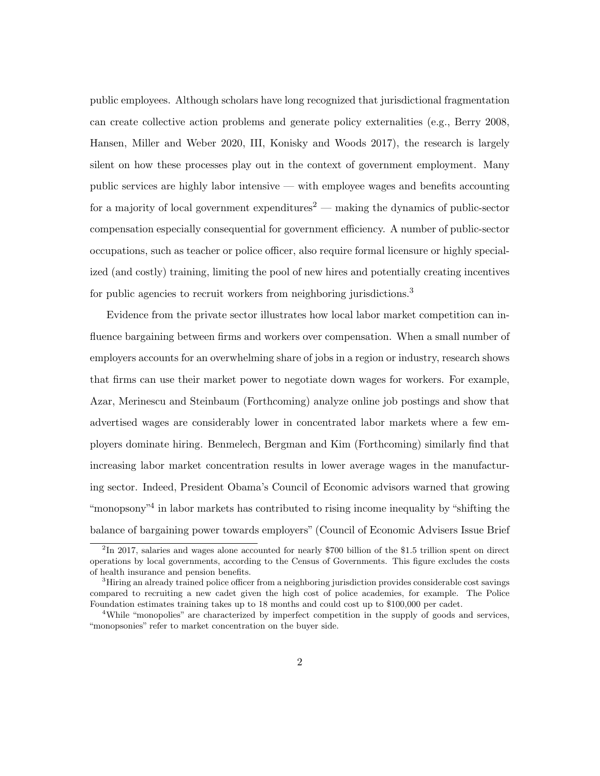public employees. Although scholars have long recognized that jurisdictional fragmentation can create collective action problems and generate policy externalities (e.g., Berry 2008, Hansen, Miller and Weber 2020, III, Konisky and Woods 2017), the research is largely silent on how these processes play out in the context of government employment. Many public services are highly labor intensive — with employee wages and benefits accounting for a majority of local government expenditures<sup>2</sup> — making the dynamics of public-sector compensation especially consequential for government efficiency. A number of public-sector occupations, such as teacher or police officer, also require formal licensure or highly specialized (and costly) training, limiting the pool of new hires and potentially creating incentives for public agencies to recruit workers from neighboring jurisdictions.<sup>3</sup>

Evidence from the private sector illustrates how local labor market competition can influence bargaining between firms and workers over compensation. When a small number of employers accounts for an overwhelming share of jobs in a region or industry, research shows that firms can use their market power to negotiate down wages for workers. For example, Azar, Merinescu and Steinbaum (Forthcoming) analyze online job postings and show that advertised wages are considerably lower in concentrated labor markets where a few employers dominate hiring. Benmelech, Bergman and Kim (Forthcoming) similarly find that increasing labor market concentration results in lower average wages in the manufacturing sector. Indeed, President Obama's Council of Economic advisors warned that growing "monopsony"<sup>4</sup> in labor markets has contributed to rising income inequality by "shifting the balance of bargaining power towards employers" (Council of Economic Advisers Issue Brief

<sup>&</sup>lt;sup>2</sup>In 2017, salaries and wages alone accounted for nearly \$700 billion of the \$1.5 trillion spent on direct operations by local governments, according to the Census of Governments. This figure excludes the costs of health insurance and pension benefits.

<sup>&</sup>lt;sup>3</sup>Hiring an already trained police officer from a neighboring jurisdiction provides considerable cost savings compared to recruiting a new cadet given the high cost of police academies, for example. The Police Foundation estimates training takes up to 18 months and could cost up to \$100,000 per cadet.

<sup>&</sup>lt;sup>4</sup>While "monopolies" are characterized by imperfect competition in the supply of goods and services, "monopsonies" refer to market concentration on the buyer side.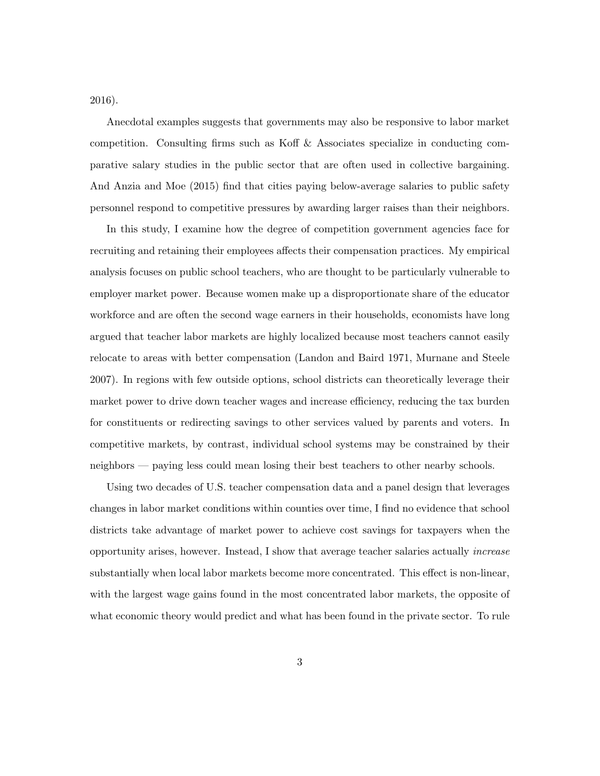2016).

Anecdotal examples suggests that governments may also be responsive to labor market competition. Consulting firms such as Koff & Associates specialize in conducting comparative salary studies in the public sector that are often used in collective bargaining. And Anzia and Moe (2015) find that cities paying below-average salaries to public safety personnel respond to competitive pressures by awarding larger raises than their neighbors.

In this study, I examine how the degree of competition government agencies face for recruiting and retaining their employees affects their compensation practices. My empirical analysis focuses on public school teachers, who are thought to be particularly vulnerable to employer market power. Because women make up a disproportionate share of the educator workforce and are often the second wage earners in their households, economists have long argued that teacher labor markets are highly localized because most teachers cannot easily relocate to areas with better compensation (Landon and Baird 1971, Murnane and Steele 2007). In regions with few outside options, school districts can theoretically leverage their market power to drive down teacher wages and increase efficiency, reducing the tax burden for constituents or redirecting savings to other services valued by parents and voters. In competitive markets, by contrast, individual school systems may be constrained by their neighbors — paying less could mean losing their best teachers to other nearby schools.

Using two decades of U.S. teacher compensation data and a panel design that leverages changes in labor market conditions within counties over time, I find no evidence that school districts take advantage of market power to achieve cost savings for taxpayers when the opportunity arises, however. Instead, I show that average teacher salaries actually increase substantially when local labor markets become more concentrated. This effect is non-linear, with the largest wage gains found in the most concentrated labor markets, the opposite of what economic theory would predict and what has been found in the private sector. To rule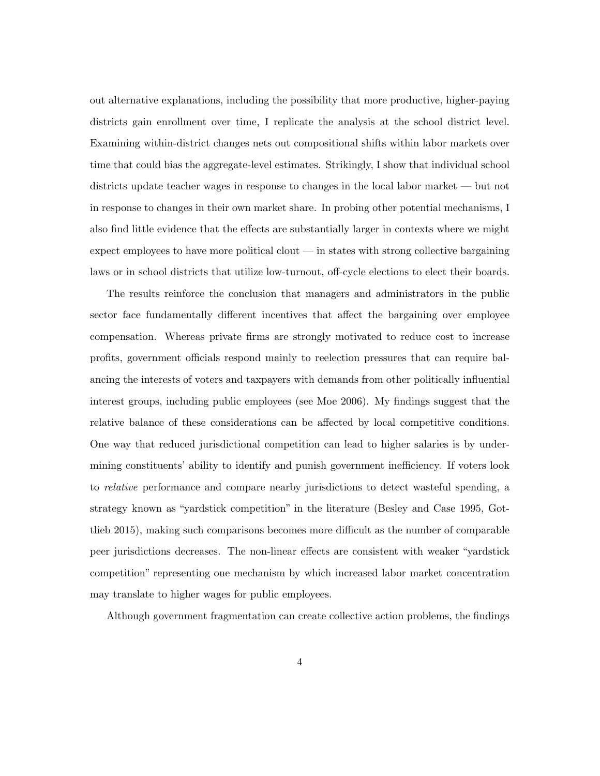out alternative explanations, including the possibility that more productive, higher-paying districts gain enrollment over time, I replicate the analysis at the school district level. Examining within-district changes nets out compositional shifts within labor markets over time that could bias the aggregate-level estimates. Strikingly, I show that individual school districts update teacher wages in response to changes in the local labor market — but not in response to changes in their own market share. In probing other potential mechanisms, I also find little evidence that the effects are substantially larger in contexts where we might expect employees to have more political clout — in states with strong collective bargaining laws or in school districts that utilize low-turnout, off-cycle elections to elect their boards.

The results reinforce the conclusion that managers and administrators in the public sector face fundamentally different incentives that affect the bargaining over employee compensation. Whereas private firms are strongly motivated to reduce cost to increase profits, government officials respond mainly to reelection pressures that can require balancing the interests of voters and taxpayers with demands from other politically influential interest groups, including public employees (see Moe 2006). My findings suggest that the relative balance of these considerations can be affected by local competitive conditions. One way that reduced jurisdictional competition can lead to higher salaries is by undermining constituents' ability to identify and punish government inefficiency. If voters look to relative performance and compare nearby jurisdictions to detect wasteful spending, a strategy known as "yardstick competition" in the literature (Besley and Case 1995, Gottlieb 2015), making such comparisons becomes more difficult as the number of comparable peer jurisdictions decreases. The non-linear effects are consistent with weaker "yardstick competition" representing one mechanism by which increased labor market concentration may translate to higher wages for public employees.

Although government fragmentation can create collective action problems, the findings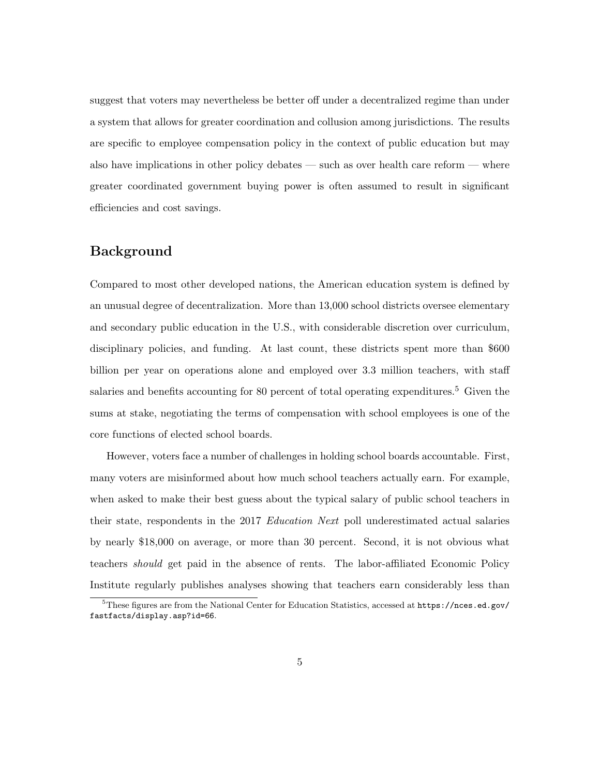suggest that voters may nevertheless be better off under a decentralized regime than under a system that allows for greater coordination and collusion among jurisdictions. The results are specific to employee compensation policy in the context of public education but may also have implications in other policy debates — such as over health care reform — where greater coordinated government buying power is often assumed to result in significant efficiencies and cost savings.

#### Background

Compared to most other developed nations, the American education system is defined by an unusual degree of decentralization. More than 13,000 school districts oversee elementary and secondary public education in the U.S., with considerable discretion over curriculum, disciplinary policies, and funding. At last count, these districts spent more than \$600 billion per year on operations alone and employed over 3.3 million teachers, with staff salaries and benefits accounting for 80 percent of total operating expenditures.<sup>5</sup> Given the sums at stake, negotiating the terms of compensation with school employees is one of the core functions of elected school boards.

However, voters face a number of challenges in holding school boards accountable. First, many voters are misinformed about how much school teachers actually earn. For example, when asked to make their best guess about the typical salary of public school teachers in their state, respondents in the 2017 Education Next poll underestimated actual salaries by nearly \$18,000 on average, or more than 30 percent. Second, it is not obvious what teachers should get paid in the absence of rents. The labor-affiliated Economic Policy Institute regularly publishes analyses showing that teachers earn considerably less than

 $5$ These figures are from the National Center for Education Statistics, accessed at  $https://nces.ed.gov/$ fastfacts/display.asp?id=66.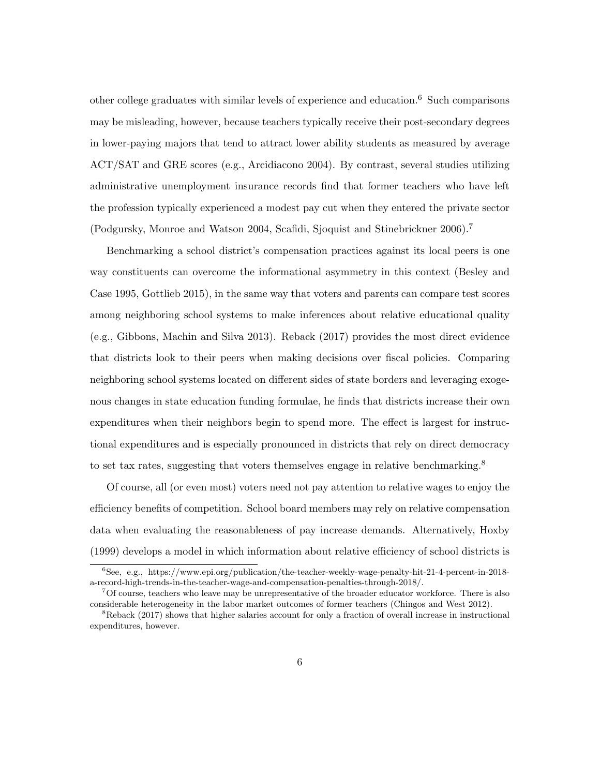other college graduates with similar levels of experience and education.<sup>6</sup> Such comparisons may be misleading, however, because teachers typically receive their post-secondary degrees in lower-paying majors that tend to attract lower ability students as measured by average ACT/SAT and GRE scores (e.g., Arcidiacono 2004). By contrast, several studies utilizing administrative unemployment insurance records find that former teachers who have left the profession typically experienced a modest pay cut when they entered the private sector (Podgursky, Monroe and Watson 2004, Scafidi, Sjoquist and Stinebrickner 2006).<sup>7</sup>

Benchmarking a school district's compensation practices against its local peers is one way constituents can overcome the informational asymmetry in this context (Besley and Case 1995, Gottlieb 2015), in the same way that voters and parents can compare test scores among neighboring school systems to make inferences about relative educational quality (e.g., Gibbons, Machin and Silva 2013). Reback (2017) provides the most direct evidence that districts look to their peers when making decisions over fiscal policies. Comparing neighboring school systems located on different sides of state borders and leveraging exogenous changes in state education funding formulae, he finds that districts increase their own expenditures when their neighbors begin to spend more. The effect is largest for instructional expenditures and is especially pronounced in districts that rely on direct democracy to set tax rates, suggesting that voters themselves engage in relative benchmarking.<sup>8</sup>

Of course, all (or even most) voters need not pay attention to relative wages to enjoy the efficiency benefits of competition. School board members may rely on relative compensation data when evaluating the reasonableness of pay increase demands. Alternatively, Hoxby (1999) develops a model in which information about relative efficiency of school districts is

<sup>6</sup>See, e.g., https://www.epi.org/publication/the-teacher-weekly-wage-penalty-hit-21-4-percent-in-2018 a-record-high-trends-in-the-teacher-wage-and-compensation-penalties-through-2018/.

<sup>7</sup>Of course, teachers who leave may be unrepresentative of the broader educator workforce. There is also considerable heterogeneity in the labor market outcomes of former teachers (Chingos and West 2012).

<sup>&</sup>lt;sup>8</sup>Reback (2017) shows that higher salaries account for only a fraction of overall increase in instructional expenditures, however.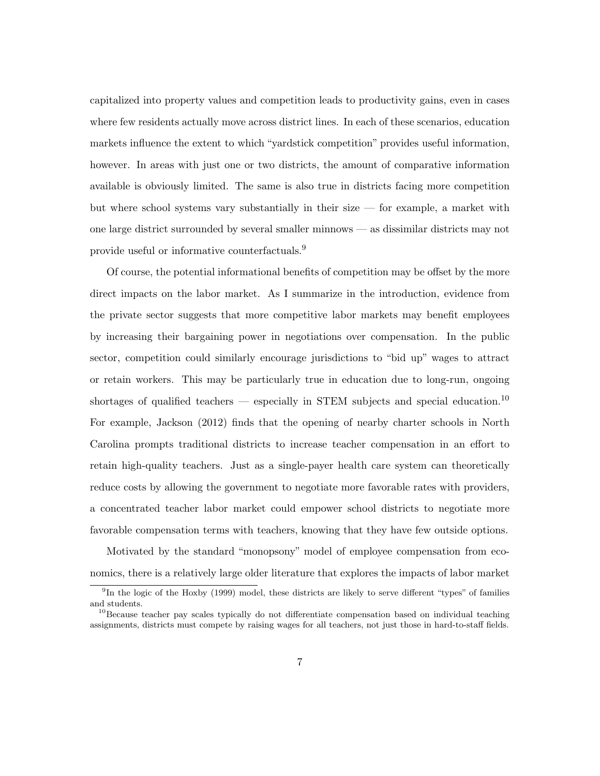capitalized into property values and competition leads to productivity gains, even in cases where few residents actually move across district lines. In each of these scenarios, education markets influence the extent to which "yardstick competition" provides useful information, however. In areas with just one or two districts, the amount of comparative information available is obviously limited. The same is also true in districts facing more competition but where school systems vary substantially in their size — for example, a market with one large district surrounded by several smaller minnows — as dissimilar districts may not provide useful or informative counterfactuals.<sup>9</sup>

Of course, the potential informational benefits of competition may be offset by the more direct impacts on the labor market. As I summarize in the introduction, evidence from the private sector suggests that more competitive labor markets may benefit employees by increasing their bargaining power in negotiations over compensation. In the public sector, competition could similarly encourage jurisdictions to "bid up" wages to attract or retain workers. This may be particularly true in education due to long-run, ongoing shortages of qualified teachers — especially in STEM subjects and special education.<sup>10</sup> For example, Jackson (2012) finds that the opening of nearby charter schools in North Carolina prompts traditional districts to increase teacher compensation in an effort to retain high-quality teachers. Just as a single-payer health care system can theoretically reduce costs by allowing the government to negotiate more favorable rates with providers, a concentrated teacher labor market could empower school districts to negotiate more favorable compensation terms with teachers, knowing that they have few outside options.

Motivated by the standard "monopsony" model of employee compensation from economics, there is a relatively large older literature that explores the impacts of labor market

<sup>&</sup>lt;sup>9</sup>In the logic of the Hoxby (1999) model, these districts are likely to serve different "types" of families and students.

<sup>&</sup>lt;sup>10</sup>Because teacher pay scales typically do not differentiate compensation based on individual teaching assignments, districts must compete by raising wages for all teachers, not just those in hard-to-staff fields.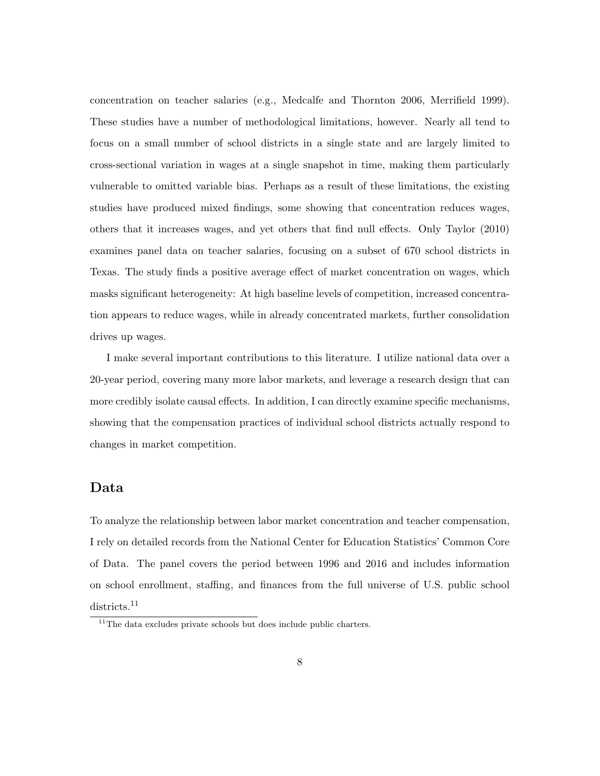concentration on teacher salaries (e.g., Medcalfe and Thornton 2006, Merrifield 1999). These studies have a number of methodological limitations, however. Nearly all tend to focus on a small number of school districts in a single state and are largely limited to cross-sectional variation in wages at a single snapshot in time, making them particularly vulnerable to omitted variable bias. Perhaps as a result of these limitations, the existing studies have produced mixed findings, some showing that concentration reduces wages, others that it increases wages, and yet others that find null effects. Only Taylor (2010) examines panel data on teacher salaries, focusing on a subset of 670 school districts in Texas. The study finds a positive average effect of market concentration on wages, which masks significant heterogeneity: At high baseline levels of competition, increased concentration appears to reduce wages, while in already concentrated markets, further consolidation drives up wages.

I make several important contributions to this literature. I utilize national data over a 20-year period, covering many more labor markets, and leverage a research design that can more credibly isolate causal effects. In addition, I can directly examine specific mechanisms, showing that the compensation practices of individual school districts actually respond to changes in market competition.

#### Data

To analyze the relationship between labor market concentration and teacher compensation, I rely on detailed records from the National Center for Education Statistics' Common Core of Data. The panel covers the period between 1996 and 2016 and includes information on school enrollment, staffing, and finances from the full universe of U.S. public school districts.<sup>11</sup>

 $11$ The data excludes private schools but does include public charters.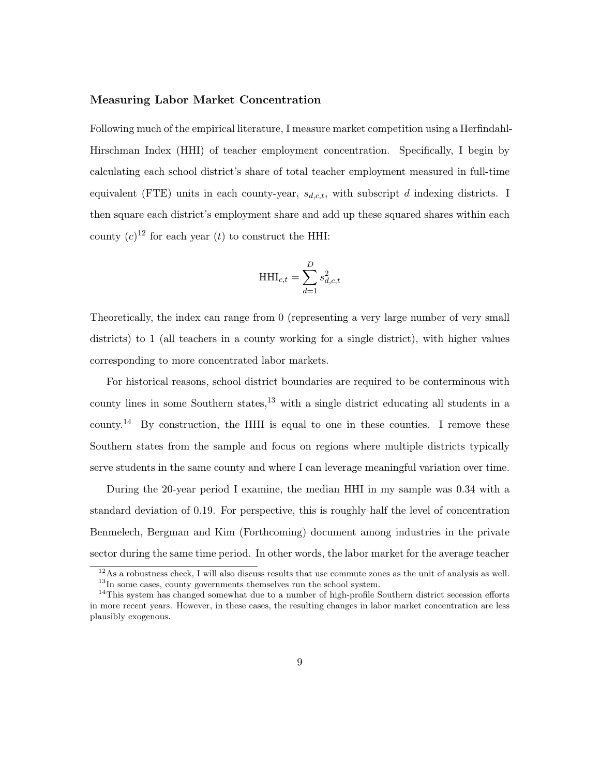#### Measuring Labor Market Concentration

Following much of the empirical literature, I measure market competition using a Herfindahl-Hirschman Index (HHI) of teacher employment concentration. Specifically, I begin by calculating each school district's share of total teacher employment measured in full-time equivalent (FTE) units in each county-year,  $s_{d,c,t}$ , with subscript d indexing districts. I then square each district's employment share and add up these squared shares within each county  $(c)^{12}$  for each year  $(t)$  to construct the HHI:

$$
\mathbf{HHI}_{c,t} = \sum_{d=1}^D s_{d,c,t}^2
$$

Theoretically, the index can range from 0 (representing a very large number of very small districts) to 1 (all teachers in a county working for a single district), with higher values corresponding to more concentrated labor markets.

For historical reasons, school district boundaries are required to be conterminous with county lines in some Southern states,  $^{13}$  with a single district educating all students in a county.<sup>14</sup> By construction, the HHI is equal to one in these counties. I remove these Southern states from the sample and focus on regions where multiple districts typically serve students in the same county and where I can leverage meaningful variation over time.

During the 20-year period I examine, the median HHI in my sample was 0.34 with a standard deviation of 0.19. For perspective, this is roughly half the level of concentration Benmelech, Bergman and Kim (Forthcoming) document among industries in the private sector during the same time period. In other words, the labor market for the average teacher

 $12\text{As a robustness check, I will also discuss results that use commute zones as the unit of analysis as well.}$  $13$ In some cases, county governments themselves run the school system.

 $14$ This system has changed somewhat due to a number of high-profile Southern district secession efforts

in more recent years. However, in these cases, the resulting changes in labor market concentration are less plausibly exogenous.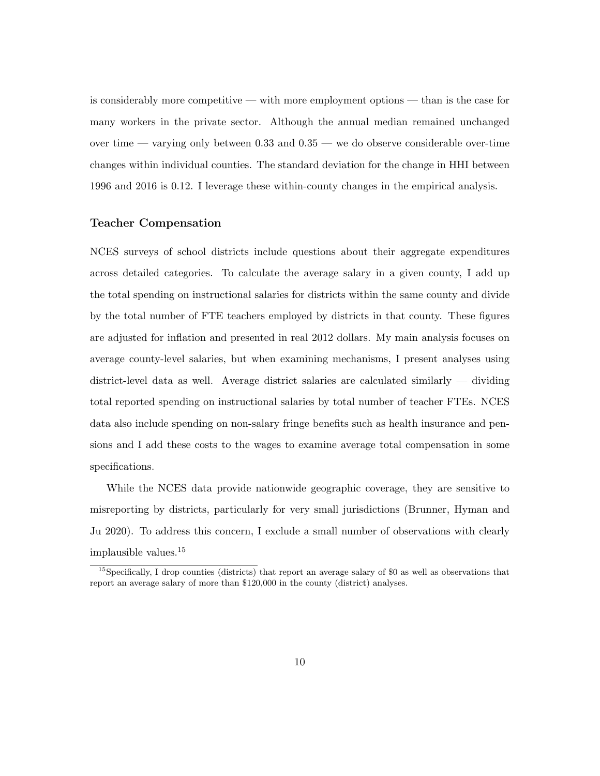is considerably more competitive — with more employment options — than is the case for many workers in the private sector. Although the annual median remained unchanged over time — varying only between 0.33 and 0.35 — we do observe considerable over-time changes within individual counties. The standard deviation for the change in HHI between 1996 and 2016 is 0.12. I leverage these within-county changes in the empirical analysis.

#### Teacher Compensation

NCES surveys of school districts include questions about their aggregate expenditures across detailed categories. To calculate the average salary in a given county, I add up the total spending on instructional salaries for districts within the same county and divide by the total number of FTE teachers employed by districts in that county. These figures are adjusted for inflation and presented in real 2012 dollars. My main analysis focuses on average county-level salaries, but when examining mechanisms, I present analyses using district-level data as well. Average district salaries are calculated similarly — dividing total reported spending on instructional salaries by total number of teacher FTEs. NCES data also include spending on non-salary fringe benefits such as health insurance and pensions and I add these costs to the wages to examine average total compensation in some specifications.

While the NCES data provide nationwide geographic coverage, they are sensitive to misreporting by districts, particularly for very small jurisdictions (Brunner, Hyman and Ju 2020). To address this concern, I exclude a small number of observations with clearly implausible values.<sup>15</sup>

<sup>&</sup>lt;sup>15</sup>Specifically, I drop counties (districts) that report an average salary of \$0 as well as observations that report an average salary of more than \$120,000 in the county (district) analyses.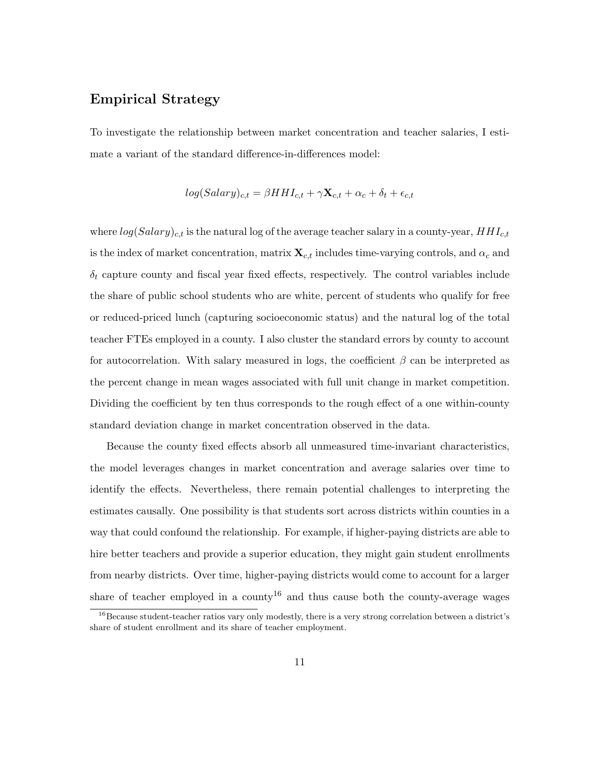## Empirical Strategy

To investigate the relationship between market concentration and teacher salaries, I estimate a variant of the standard difference-in-differences model:

$$
log(Salary)_{c,t} = \beta H H I_{c,t} + \gamma \mathbf{X}_{c,t} + \alpha_c + \delta_t + \epsilon_{c,t}
$$

where  $log(Salary)_{c,t}$  is the natural log of the average teacher salary in a county-year,  $HHI_{c,t}$ is the index of market concentration, matrix  $\mathbf{X}_{c,t}$  includes time-varying controls, and  $\alpha_c$  and  $\delta_t$  capture county and fiscal year fixed effects, respectively. The control variables include the share of public school students who are white, percent of students who qualify for free or reduced-priced lunch (capturing socioeconomic status) and the natural log of the total teacher FTEs employed in a county. I also cluster the standard errors by county to account for autocorrelation. With salary measured in logs, the coefficient  $\beta$  can be interpreted as the percent change in mean wages associated with full unit change in market competition. Dividing the coefficient by ten thus corresponds to the rough effect of a one within-county standard deviation change in market concentration observed in the data.

Because the county fixed effects absorb all unmeasured time-invariant characteristics, the model leverages changes in market concentration and average salaries over time to identify the effects. Nevertheless, there remain potential challenges to interpreting the estimates causally. One possibility is that students sort across districts within counties in a way that could confound the relationship. For example, if higher-paying districts are able to hire better teachers and provide a superior education, they might gain student enrollments from nearby districts. Over time, higher-paying districts would come to account for a larger share of teacher employed in a county<sup>16</sup> and thus cause both the county-average wages

 $16$ Because student-teacher ratios vary only modestly, there is a very strong correlation between a district's share of student enrollment and its share of teacher employment.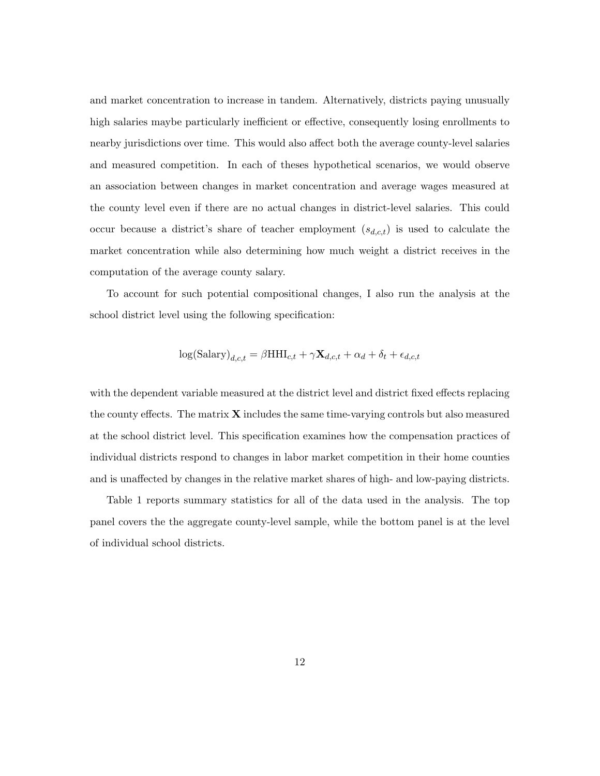and market concentration to increase in tandem. Alternatively, districts paying unusually high salaries maybe particularly inefficient or effective, consequently losing enrollments to nearby jurisdictions over time. This would also affect both the average county-level salaries and measured competition. In each of theses hypothetical scenarios, we would observe an association between changes in market concentration and average wages measured at the county level even if there are no actual changes in district-level salaries. This could occur because a district's share of teacher employment  $(s_{d,c,t})$  is used to calculate the market concentration while also determining how much weight a district receives in the computation of the average county salary.

To account for such potential compositional changes, I also run the analysis at the school district level using the following specification:

$$
\log(\text{Salary})_{d,c,t} = \beta \text{HHI}_{c,t} + \gamma \mathbf{X}_{d,c,t} + \alpha_d + \delta_t + \epsilon_{d,c,t}
$$

with the dependent variable measured at the district level and district fixed effects replacing the county effects. The matrix  $X$  includes the same time-varying controls but also measured at the school district level. This specification examines how the compensation practices of individual districts respond to changes in labor market competition in their home counties and is unaffected by changes in the relative market shares of high- and low-paying districts.

Table 1 reports summary statistics for all of the data used in the analysis. The top panel covers the the aggregate county-level sample, while the bottom panel is at the level of individual school districts.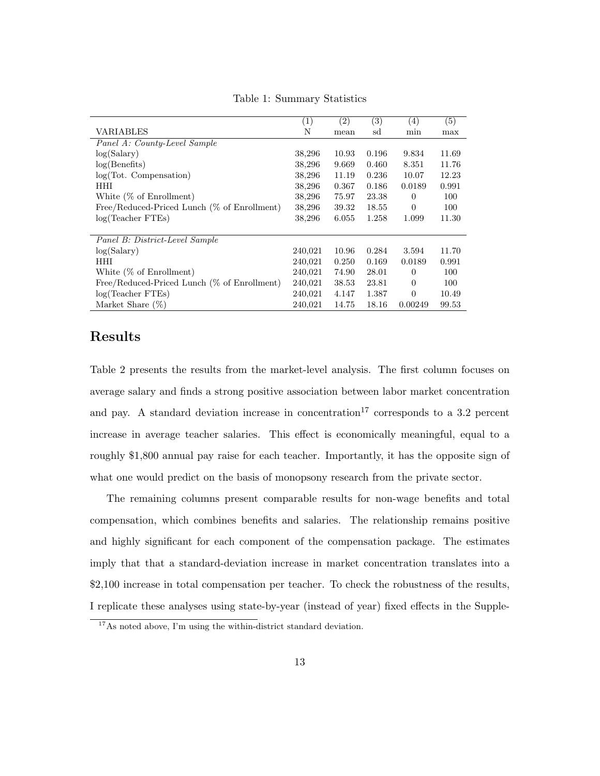|                                             | $\left( 1\right)$ | $\left( 2\right)$ | (3)   | (4)            | (5)   |
|---------------------------------------------|-------------------|-------------------|-------|----------------|-------|
| VARIABLES                                   | N                 | mean              | sd    | min            | max   |
| Panel A: County-Level Sample                |                   |                   |       |                |       |
| log(Salary)                                 | 38,296            | 10.93             | 0.196 | 9.834          | 11.69 |
| log(Benefits)                               | 38,296            | 9.669             | 0.460 | 8.351          | 11.76 |
| $log(Tot.$ Compensation)                    | 38,296            | 11.19             | 0.236 | 10.07          | 12.23 |
| HHI                                         | 38,296            | 0.367             | 0.186 | 0.0189         | 0.991 |
| White $(\%$ of Enrollment)                  | 38,296            | 75.97             | 23.38 | $\Omega$       | 100   |
| Free/Reduced-Priced Lunch (% of Enrollment) | 38,296            | 39.32             | 18.55 | $\Omega$       | 100   |
| log(Teacher FTEs)                           | 38,296            | 6.055             | 1.258 | 1.099          | 11.30 |
|                                             |                   |                   |       |                |       |
| Panel B: District-Level Sample              |                   |                   |       |                |       |
| log(Salary)                                 | 240,021           | 10.96             | 0.284 | 3.594          | 11.70 |
| <b>HHI</b>                                  | 240,021           | 0.250             | 0.169 | 0.0189         | 0.991 |
| White $(\%$ of Enrollment)                  | 240,021           | 74.90             | 28.01 | $\overline{0}$ | 100   |
| Free/Reduced-Priced Lunch (% of Enrollment) | 240,021           | 38.53             | 23.81 | $\theta$       | 100   |
| log(Teacher FTEs)                           | 240,021           | 4.147             | 1.387 | $\Omega$       | 10.49 |
| Market Share $(\%)$                         | 240,021           | 14.75             | 18.16 | 0.00249        | 99.53 |

Table 1: Summary Statistics

#### Results

Table 2 presents the results from the market-level analysis. The first column focuses on average salary and finds a strong positive association between labor market concentration and pay. A standard deviation increase in concentration<sup>17</sup> corresponds to a 3.2 percent increase in average teacher salaries. This effect is economically meaningful, equal to a roughly \$1,800 annual pay raise for each teacher. Importantly, it has the opposite sign of what one would predict on the basis of monopsony research from the private sector.

The remaining columns present comparable results for non-wage benefits and total compensation, which combines benefits and salaries. The relationship remains positive and highly significant for each component of the compensation package. The estimates imply that that a standard-deviation increase in market concentration translates into a \$2,100 increase in total compensation per teacher. To check the robustness of the results, I replicate these analyses using state-by-year (instead of year) fixed effects in the Supple-

 $^{17}\mathrm{As}$  noted above, I'm using the within-district standard deviation.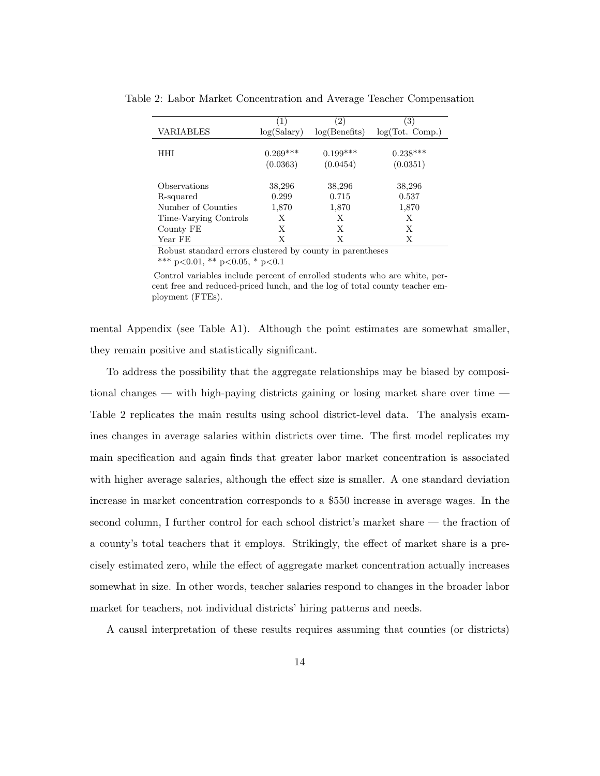|                       | (1)         | $\left( 2\right)$ | (3)             |
|-----------------------|-------------|-------------------|-----------------|
| VARIABLES             | log(Salary) | log(Benefits)     | log(Tot. Comp.) |
|                       |             |                   |                 |
| HHI                   | $0.269***$  | $0.199***$        | $0.238***$      |
|                       | (0.0363)    | (0.0454)          | (0.0351)        |
|                       |             |                   |                 |
| Observations          | 38,296      | 38,296            | 38,296          |
| R-squared             | 0.299       | 0.715             | 0.537           |
| Number of Counties    | 1,870       | 1,870             | 1,870           |
| Time-Varying Controls | Х           | Х                 | Х               |
| County FE             | Х           | Х                 | Х               |
| Year FE               | Х           | Х                 | Х               |

Table 2: Labor Market Concentration and Average Teacher Compensation

Robust standard errors clustered by county in parentheses \*\*\* p<0.01, \*\* p<0.05, \* p<0.1

Control variables include percent of enrolled students who are white, percent free and reduced-priced lunch, and the log of total county teacher employment (FTEs).

mental Appendix (see Table A1). Although the point estimates are somewhat smaller, they remain positive and statistically significant.

To address the possibility that the aggregate relationships may be biased by compositional changes — with high-paying districts gaining or losing market share over time — Table 2 replicates the main results using school district-level data. The analysis examines changes in average salaries within districts over time. The first model replicates my main specification and again finds that greater labor market concentration is associated with higher average salaries, although the effect size is smaller. A one standard deviation increase in market concentration corresponds to a \$550 increase in average wages. In the second column, I further control for each school district's market share — the fraction of a county's total teachers that it employs. Strikingly, the effect of market share is a precisely estimated zero, while the effect of aggregate market concentration actually increases somewhat in size. In other words, teacher salaries respond to changes in the broader labor market for teachers, not individual districts' hiring patterns and needs.

A causal interpretation of these results requires assuming that counties (or districts)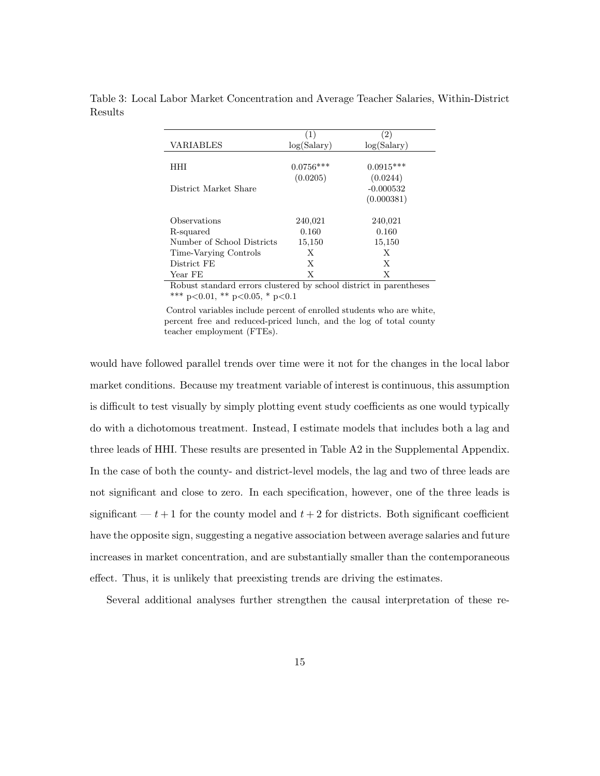|                            | $\left(1\right)$ | (2)         |
|----------------------------|------------------|-------------|
| VARIABLES                  | log(Salary)      | log(Salary) |
|                            |                  |             |
| HHI                        | $0.0756***$      | $0.0915***$ |
|                            | (0.0205)         | (0.0244)    |
| District Market Share      |                  | $-0.000532$ |
|                            |                  | (0.000381)  |
|                            |                  |             |
| Observations               | 240,021          | 240,021     |
| R-squared                  | 0.160            | 0.160       |
| Number of School Districts | 15,150           | 15,150      |
| Time-Varying Controls      | Х                | Х           |
| District FE                | X                | X           |
| Year FE                    | Х                | Х           |

Table 3: Local Labor Market Concentration and Average Teacher Salaries, Within-District Results

Robust standard errors clustered by school district in parentheses \*\*\* p<0.01, \*\* p<0.05, \* p<0.1

Control variables include percent of enrolled students who are white, percent free and reduced-priced lunch, and the log of total county teacher employment (FTEs).

would have followed parallel trends over time were it not for the changes in the local labor market conditions. Because my treatment variable of interest is continuous, this assumption is difficult to test visually by simply plotting event study coefficients as one would typically do with a dichotomous treatment. Instead, I estimate models that includes both a lag and three leads of HHI. These results are presented in Table A2 in the Supplemental Appendix. In the case of both the county- and district-level models, the lag and two of three leads are not significant and close to zero. In each specification, however, one of the three leads is significant  $-t+1$  for the county model and  $t+2$  for districts. Both significant coefficient have the opposite sign, suggesting a negative association between average salaries and future increases in market concentration, and are substantially smaller than the contemporaneous effect. Thus, it is unlikely that preexisting trends are driving the estimates.

Several additional analyses further strengthen the causal interpretation of these re-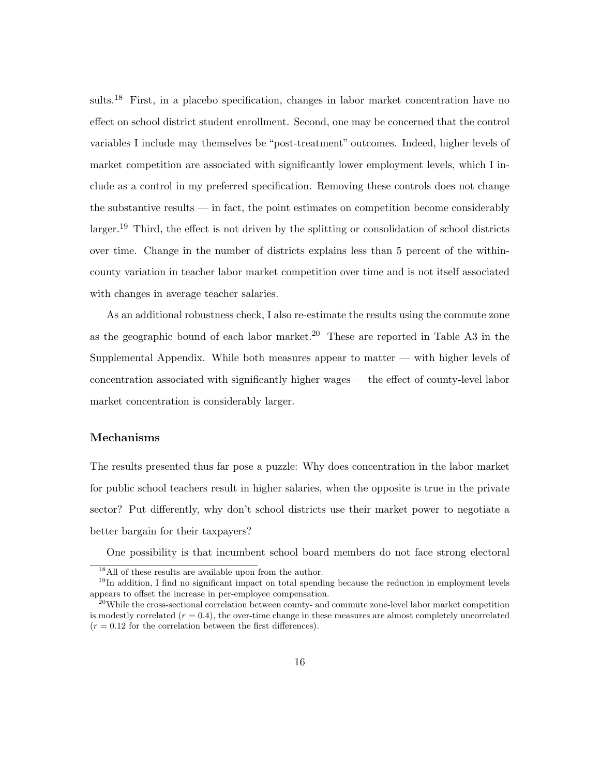sults.<sup>18</sup> First, in a placebo specification, changes in labor market concentration have no effect on school district student enrollment. Second, one may be concerned that the control variables I include may themselves be "post-treatment" outcomes. Indeed, higher levels of market competition are associated with significantly lower employment levels, which I include as a control in my preferred specification. Removing these controls does not change the substantive results — in fact, the point estimates on competition become considerably larger.<sup>19</sup> Third, the effect is not driven by the splitting or consolidation of school districts over time. Change in the number of districts explains less than 5 percent of the withincounty variation in teacher labor market competition over time and is not itself associated with changes in average teacher salaries.

As an additional robustness check, I also re-estimate the results using the commute zone as the geographic bound of each labor market.<sup>20</sup> These are reported in Table A3 in the Supplemental Appendix. While both measures appear to matter — with higher levels of concentration associated with significantly higher wages — the effect of county-level labor market concentration is considerably larger.

#### Mechanisms

The results presented thus far pose a puzzle: Why does concentration in the labor market for public school teachers result in higher salaries, when the opposite is true in the private sector? Put differently, why don't school districts use their market power to negotiate a better bargain for their taxpayers?

One possibility is that incumbent school board members do not face strong electoral

<sup>18</sup>All of these results are available upon from the author.

 $19$ In addition, I find no significant impact on total spending because the reduction in employment levels appears to offset the increase in per-employee compensation.

<sup>&</sup>lt;sup>20</sup>While the cross-sectional correlation between county- and commute zone-level labor market competition is modestly correlated  $(r = 0.4)$ , the over-time change in these measures are almost completely uncorrelated  $(r = 0.12$  for the correlation between the first differences).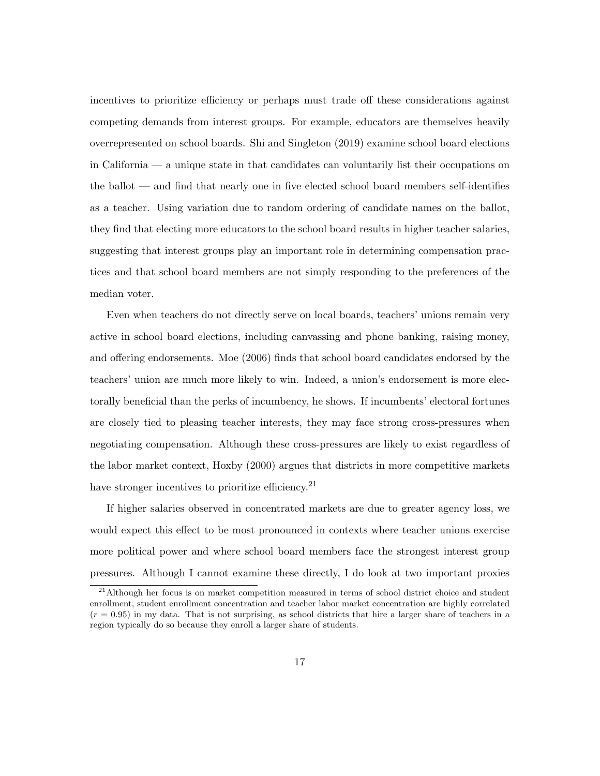incentives to prioritize efficiency or perhaps must trade off these considerations against competing demands from interest groups. For example, educators are themselves heavily overrepresented on school boards. Shi and Singleton (2019) examine school board elections in California — a unique state in that candidates can voluntarily list their occupations on the ballot — and find that nearly one in five elected school board members self-identifies as a teacher. Using variation due to random ordering of candidate names on the ballot, they find that electing more educators to the school board results in higher teacher salaries, suggesting that interest groups play an important role in determining compensation practices and that school board members are not simply responding to the preferences of the median voter.

Even when teachers do not directly serve on local boards, teachers' unions remain very active in school board elections, including canvassing and phone banking, raising money, and offering endorsements. Moe (2006) finds that school board candidates endorsed by the teachers' union are much more likely to win. Indeed, a union's endorsement is more electorally beneficial than the perks of incumbency, he shows. If incumbents' electoral fortunes are closely tied to pleasing teacher interests, they may face strong cross-pressures when negotiating compensation. Although these cross-pressures are likely to exist regardless of the labor market context, Hoxby (2000) argues that districts in more competitive markets have stronger incentives to prioritize efficiency.<sup>21</sup>

If higher salaries observed in concentrated markets are due to greater agency loss, we would expect this effect to be most pronounced in contexts where teacher unions exercise more political power and where school board members face the strongest interest group pressures. Although I cannot examine these directly, I do look at two important proxies

 $21$ Although her focus is on market competition measured in terms of school district choice and student enrollment, student enrollment concentration and teacher labor market concentration are highly correlated  $(r = 0.95)$  in my data. That is not surprising, as school districts that hire a larger share of teachers in a region typically do so because they enroll a larger share of students.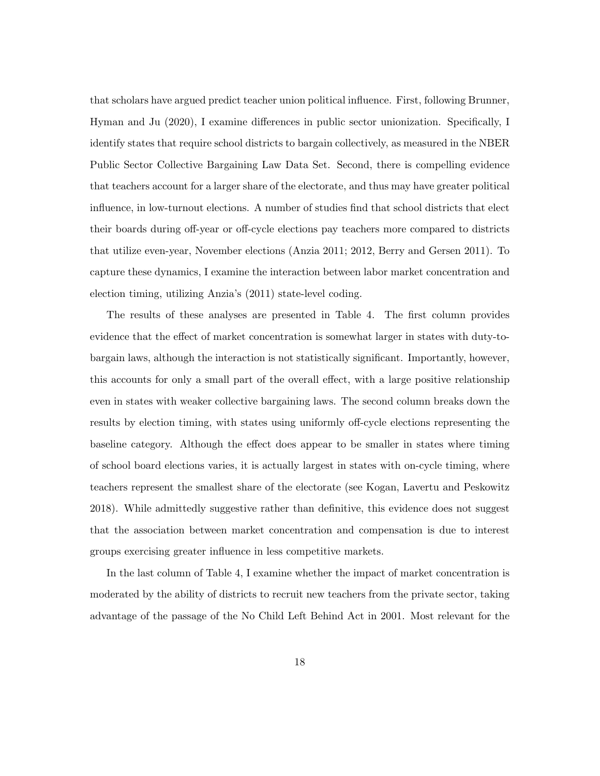that scholars have argued predict teacher union political influence. First, following Brunner, Hyman and Ju (2020), I examine differences in public sector unionization. Specifically, I identify states that require school districts to bargain collectively, as measured in the NBER Public Sector Collective Bargaining Law Data Set. Second, there is compelling evidence that teachers account for a larger share of the electorate, and thus may have greater political influence, in low-turnout elections. A number of studies find that school districts that elect their boards during off-year or off-cycle elections pay teachers more compared to districts that utilize even-year, November elections (Anzia 2011; 2012, Berry and Gersen 2011). To capture these dynamics, I examine the interaction between labor market concentration and election timing, utilizing Anzia's (2011) state-level coding.

The results of these analyses are presented in Table 4. The first column provides evidence that the effect of market concentration is somewhat larger in states with duty-tobargain laws, although the interaction is not statistically significant. Importantly, however, this accounts for only a small part of the overall effect, with a large positive relationship even in states with weaker collective bargaining laws. The second column breaks down the results by election timing, with states using uniformly off-cycle elections representing the baseline category. Although the effect does appear to be smaller in states where timing of school board elections varies, it is actually largest in states with on-cycle timing, where teachers represent the smallest share of the electorate (see Kogan, Lavertu and Peskowitz 2018). While admittedly suggestive rather than definitive, this evidence does not suggest that the association between market concentration and compensation is due to interest groups exercising greater influence in less competitive markets.

In the last column of Table 4, I examine whether the impact of market concentration is moderated by the ability of districts to recruit new teachers from the private sector, taking advantage of the passage of the No Child Left Behind Act in 2001. Most relevant for the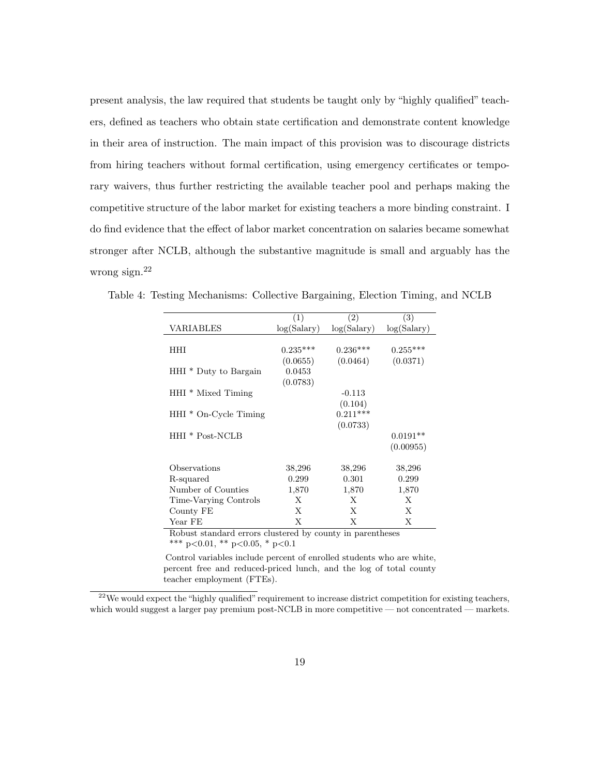present analysis, the law required that students be taught only by "highly qualified" teachers, defined as teachers who obtain state certification and demonstrate content knowledge in their area of instruction. The main impact of this provision was to discourage districts from hiring teachers without formal certification, using emergency certificates or temporary waivers, thus further restricting the available teacher pool and perhaps making the competitive structure of the labor market for existing teachers a more binding constraint. I do find evidence that the effect of labor market concentration on salaries became somewhat stronger after NCLB, although the substantive magnitude is small and arguably has the wrong sign.<sup>22</sup>

|                                  | $\left( 1\right)$ | $\left( 2\right)$ | $\left( 3\right)$ |
|----------------------------------|-------------------|-------------------|-------------------|
| VARIABLES                        | log(Salary)       | log(Salary)       | log(Salary)       |
|                                  |                   |                   |                   |
| HHI                              | $0.235***$        | $0.236***$        | $0.255***$        |
|                                  | (0.0655)          | (0.0464)          | (0.0371)          |
| HHI <sup>*</sup> Duty to Bargain | 0.0453            |                   |                   |
|                                  | (0.0783)          |                   |                   |
| HHI <sup>*</sup> Mixed Timing    |                   | $-0.113$          |                   |
|                                  |                   | (0.104)           |                   |
| $HHI * On-Cycle$ Timing          |                   | $0.211***$        |                   |
|                                  |                   | (0.0733)          |                   |
| HHI * Post-NCLB                  |                   |                   | $0.0191**$        |
|                                  |                   |                   | (0.00955)         |
|                                  |                   |                   |                   |
| Observations                     | 38,296            | 38,296            | 38,296            |
| R-squared                        | 0.299             | 0.301             | 0.299             |
| Number of Counties               | 1,870             | 1,870             | 1,870             |
| Time-Varying Controls            | X                 | X                 | X                 |
| County FE                        | X                 | X                 | X                 |
| Year FE                          | X                 | X                 | X                 |

Table 4: Testing Mechanisms: Collective Bargaining, Election Timing, and NCLB

Robust standard errors clustered by county in parentheses \*\*\* p<0.01, \*\* p<0.05, \* p<0.1

Control variables include percent of enrolled students who are white, percent free and reduced-priced lunch, and the log of total county teacher employment (FTEs).

<sup>22</sup>We would expect the "highly qualified" requirement to increase district competition for existing teachers, which would suggest a larger pay premium post-NCLB in more competitive — not concentrated — markets.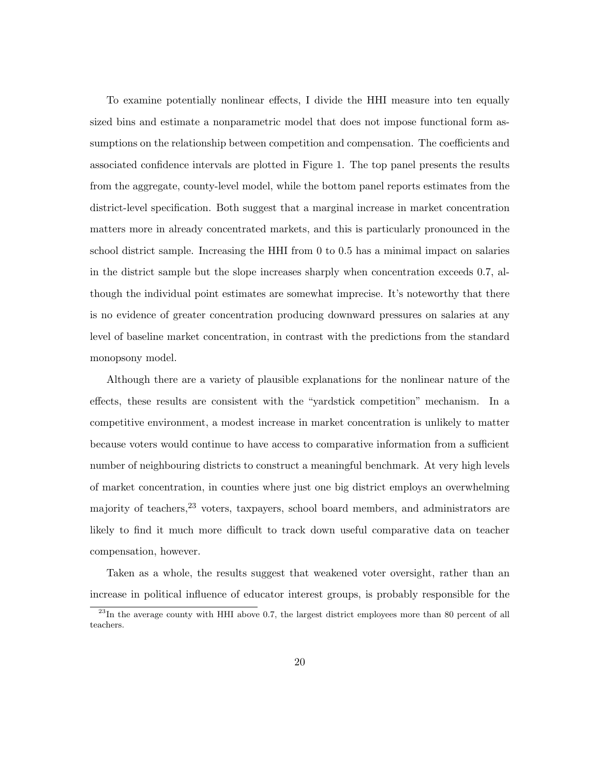To examine potentially nonlinear effects, I divide the HHI measure into ten equally sized bins and estimate a nonparametric model that does not impose functional form assumptions on the relationship between competition and compensation. The coefficients and associated confidence intervals are plotted in Figure 1. The top panel presents the results from the aggregate, county-level model, while the bottom panel reports estimates from the district-level specification. Both suggest that a marginal increase in market concentration matters more in already concentrated markets, and this is particularly pronounced in the school district sample. Increasing the HHI from 0 to 0.5 has a minimal impact on salaries in the district sample but the slope increases sharply when concentration exceeds 0.7, although the individual point estimates are somewhat imprecise. It's noteworthy that there is no evidence of greater concentration producing downward pressures on salaries at any level of baseline market concentration, in contrast with the predictions from the standard monopsony model.

Although there are a variety of plausible explanations for the nonlinear nature of the effects, these results are consistent with the "yardstick competition" mechanism. In a competitive environment, a modest increase in market concentration is unlikely to matter because voters would continue to have access to comparative information from a sufficient number of neighbouring districts to construct a meaningful benchmark. At very high levels of market concentration, in counties where just one big district employs an overwhelming majority of teachers,<sup>23</sup> voters, taxpayers, school board members, and administrators are likely to find it much more difficult to track down useful comparative data on teacher compensation, however.

Taken as a whole, the results suggest that weakened voter oversight, rather than an increase in political influence of educator interest groups, is probably responsible for the

 $^{23}$ In the average county with HHI above 0.7, the largest district employees more than 80 percent of all teachers.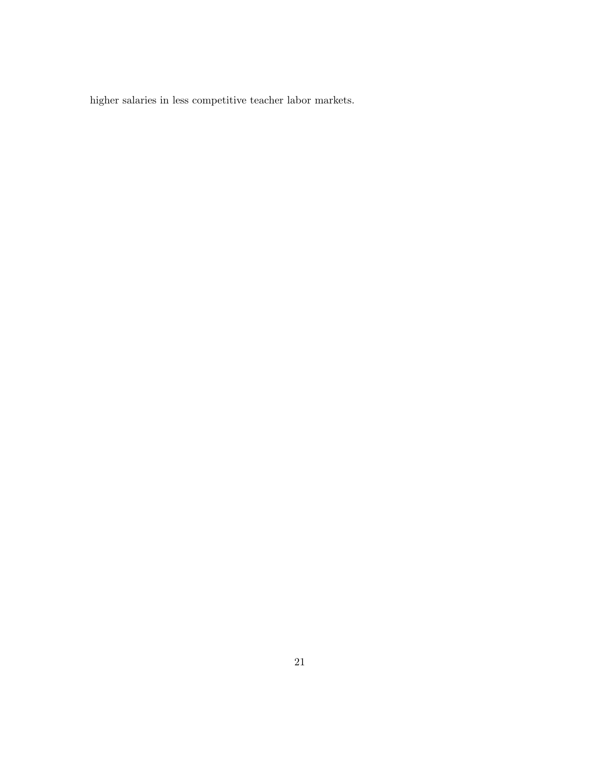higher salaries in less competitive teacher labor markets.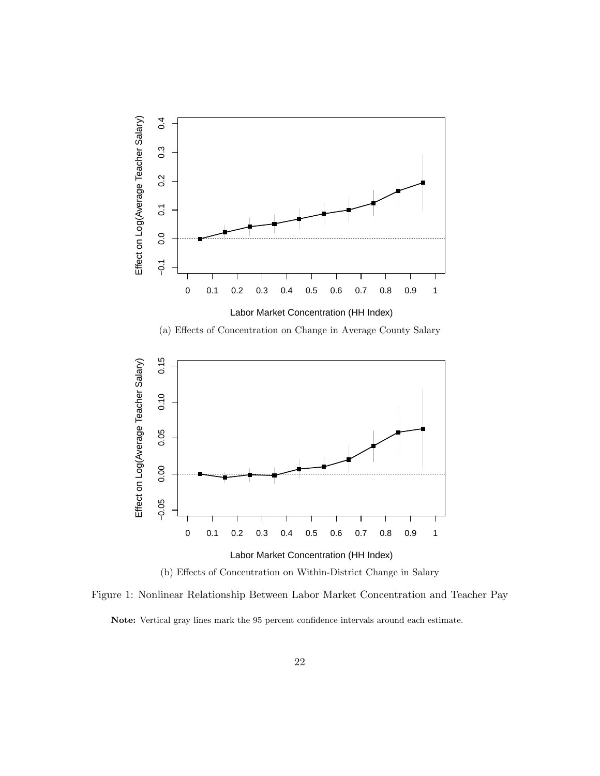

(b) Effects of Concentration on Within-District Change in Salary

Figure 1: Nonlinear Relationship Between Labor Market Concentration and Teacher Pay Note: Vertical gray lines mark the 95 percent confidence intervals around each estimate.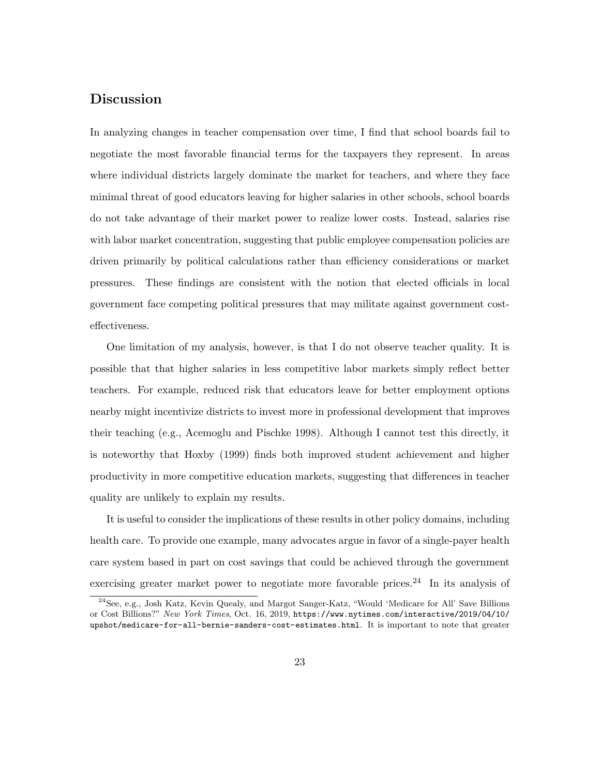## Discussion

In analyzing changes in teacher compensation over time, I find that school boards fail to negotiate the most favorable financial terms for the taxpayers they represent. In areas where individual districts largely dominate the market for teachers, and where they face minimal threat of good educators leaving for higher salaries in other schools, school boards do not take advantage of their market power to realize lower costs. Instead, salaries rise with labor market concentration, suggesting that public employee compensation policies are driven primarily by political calculations rather than efficiency considerations or market pressures. These findings are consistent with the notion that elected officials in local government face competing political pressures that may militate against government costeffectiveness.

One limitation of my analysis, however, is that I do not observe teacher quality. It is possible that that higher salaries in less competitive labor markets simply reflect better teachers. For example, reduced risk that educators leave for better employment options nearby might incentivize districts to invest more in professional development that improves their teaching (e.g., Acemoglu and Pischke 1998). Although I cannot test this directly, it is noteworthy that Hoxby (1999) finds both improved student achievement and higher productivity in more competitive education markets, suggesting that differences in teacher quality are unlikely to explain my results.

It is useful to consider the implications of these results in other policy domains, including health care. To provide one example, many advocates argue in favor of a single-payer health care system based in part on cost savings that could be achieved through the government exercising greater market power to negotiate more favorable prices.<sup>24</sup> In its analysis of

<sup>24</sup>See, e.g., Josh Katz, Kevin Quealy, and Margot Sanger-Katz, "Would 'Medicare for All' Save Billions or Cost Billions?" New York Times, Oct. 16, 2019, https://www.nytimes.com/interactive/2019/04/10/ upshot/medicare-for-all-bernie-sanders-cost-estimates.html. It is important to note that greater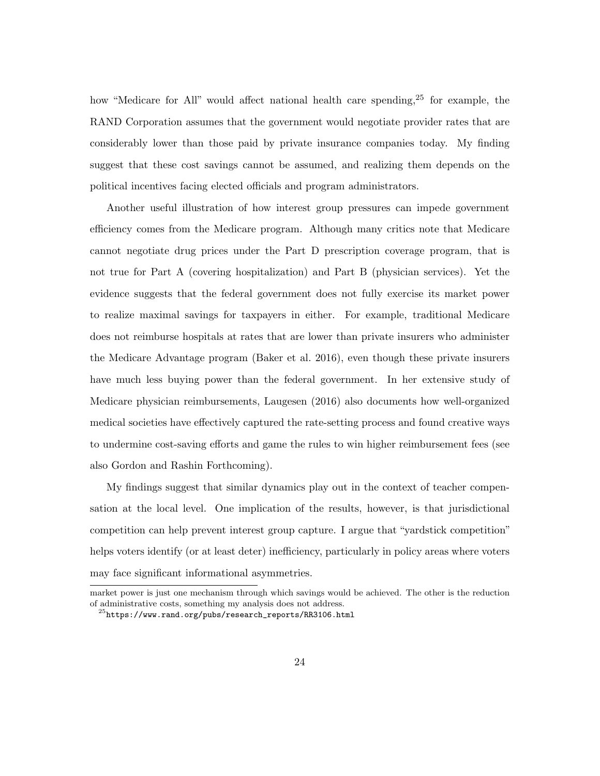how "Medicare for All" would affect national health care spending,<sup>25</sup> for example, the RAND Corporation assumes that the government would negotiate provider rates that are considerably lower than those paid by private insurance companies today. My finding suggest that these cost savings cannot be assumed, and realizing them depends on the political incentives facing elected officials and program administrators.

Another useful illustration of how interest group pressures can impede government efficiency comes from the Medicare program. Although many critics note that Medicare cannot negotiate drug prices under the Part D prescription coverage program, that is not true for Part A (covering hospitalization) and Part B (physician services). Yet the evidence suggests that the federal government does not fully exercise its market power to realize maximal savings for taxpayers in either. For example, traditional Medicare does not reimburse hospitals at rates that are lower than private insurers who administer the Medicare Advantage program (Baker et al. 2016), even though these private insurers have much less buying power than the federal government. In her extensive study of Medicare physician reimbursements, Laugesen (2016) also documents how well-organized medical societies have effectively captured the rate-setting process and found creative ways to undermine cost-saving efforts and game the rules to win higher reimbursement fees (see also Gordon and Rashin Forthcoming).

My findings suggest that similar dynamics play out in the context of teacher compensation at the local level. One implication of the results, however, is that jurisdictional competition can help prevent interest group capture. I argue that "yardstick competition" helps voters identify (or at least deter) inefficiency, particularly in policy areas where voters may face significant informational asymmetries.

market power is just one mechanism through which savings would be achieved. The other is the reduction of administrative costs, something my analysis does not address.

 $^{25}$ https://www.rand.org/pubs/research\_reports/RR3106.html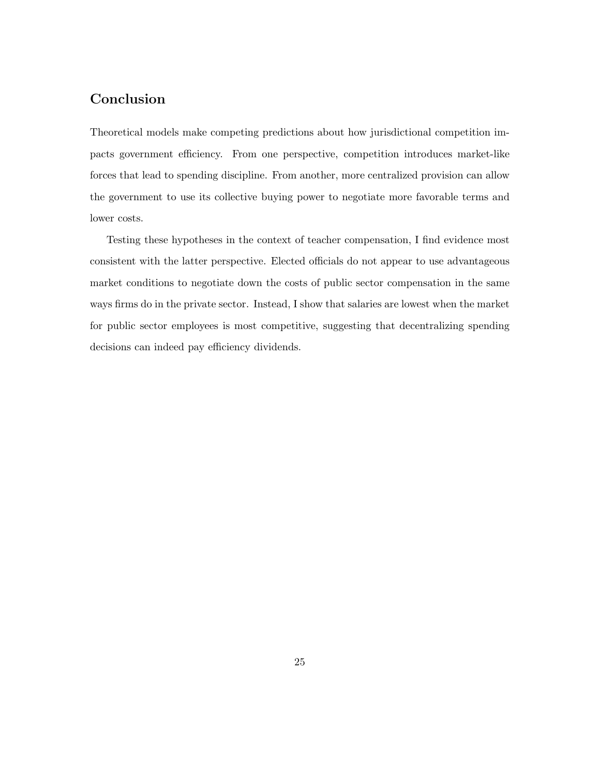## Conclusion

Theoretical models make competing predictions about how jurisdictional competition impacts government efficiency. From one perspective, competition introduces market-like forces that lead to spending discipline. From another, more centralized provision can allow the government to use its collective buying power to negotiate more favorable terms and lower costs.

Testing these hypotheses in the context of teacher compensation, I find evidence most consistent with the latter perspective. Elected officials do not appear to use advantageous market conditions to negotiate down the costs of public sector compensation in the same ways firms do in the private sector. Instead, I show that salaries are lowest when the market for public sector employees is most competitive, suggesting that decentralizing spending decisions can indeed pay efficiency dividends.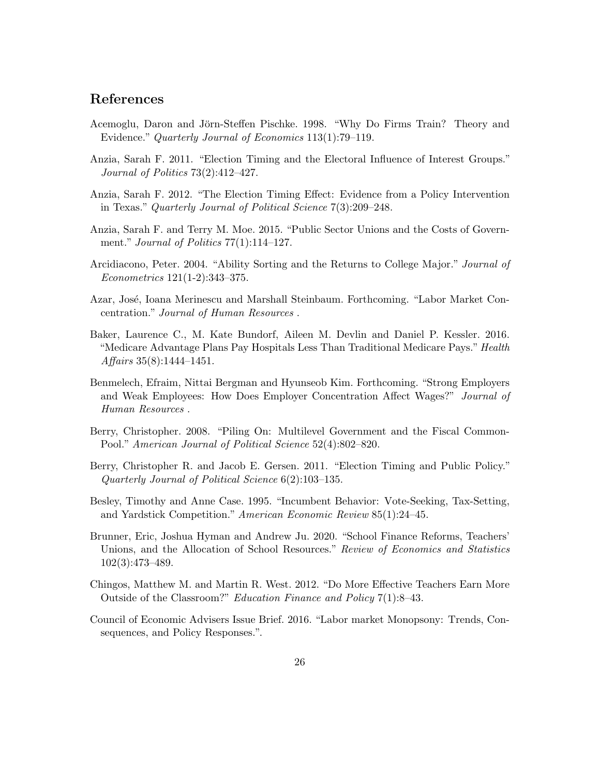## References

- Acemoglu, Daron and Jörn-Steffen Pischke. 1998. "Why Do Firms Train? Theory and Evidence." Quarterly Journal of Economics 113(1):79–119.
- Anzia, Sarah F. 2011. "Election Timing and the Electoral Influence of Interest Groups." Journal of Politics 73(2):412–427.
- Anzia, Sarah F. 2012. "The Election Timing Effect: Evidence from a Policy Intervention in Texas." Quarterly Journal of Political Science 7(3):209–248.
- Anzia, Sarah F. and Terry M. Moe. 2015. "Public Sector Unions and the Costs of Government." *Journal of Politics*  $77(1):114-127$ .
- Arcidiacono, Peter. 2004. "Ability Sorting and the Returns to College Major." Journal of Econometrics 121(1-2):343–375.
- Azar, José, Ioana Merinescu and Marshall Steinbaum. Forthcoming. "Labor Market Concentration." Journal of Human Resources .
- Baker, Laurence C., M. Kate Bundorf, Aileen M. Devlin and Daniel P. Kessler. 2016. "Medicare Advantage Plans Pay Hospitals Less Than Traditional Medicare Pays." Health Affairs 35(8):1444–1451.
- Benmelech, Efraim, Nittai Bergman and Hyunseob Kim. Forthcoming. "Strong Employers and Weak Employees: How Does Employer Concentration Affect Wages?" Journal of Human Resources .
- Berry, Christopher. 2008. "Piling On: Multilevel Government and the Fiscal Common-Pool." American Journal of Political Science 52(4):802–820.
- Berry, Christopher R. and Jacob E. Gersen. 2011. "Election Timing and Public Policy." Quarterly Journal of Political Science 6(2):103–135.
- Besley, Timothy and Anne Case. 1995. "Incumbent Behavior: Vote-Seeking, Tax-Setting, and Yardstick Competition." American Economic Review 85(1):24–45.
- Brunner, Eric, Joshua Hyman and Andrew Ju. 2020. "School Finance Reforms, Teachers' Unions, and the Allocation of School Resources." Review of Economics and Statistics 102(3):473–489.
- Chingos, Matthew M. and Martin R. West. 2012. "Do More Effective Teachers Earn More Outside of the Classroom?" Education Finance and Policy 7(1):8–43.
- Council of Economic Advisers Issue Brief. 2016. "Labor market Monopsony: Trends, Consequences, and Policy Responses.".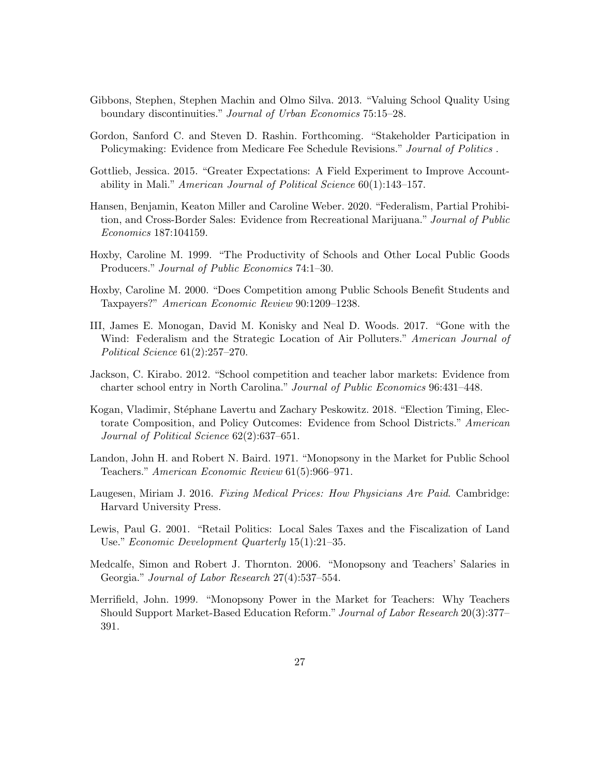- Gibbons, Stephen, Stephen Machin and Olmo Silva. 2013. "Valuing School Quality Using boundary discontinuities." Journal of Urban Economics 75:15–28.
- Gordon, Sanford C. and Steven D. Rashin. Forthcoming. "Stakeholder Participation in Policymaking: Evidence from Medicare Fee Schedule Revisions." Journal of Politics.
- Gottlieb, Jessica. 2015. "Greater Expectations: A Field Experiment to Improve Accountability in Mali." American Journal of Political Science 60(1):143–157.
- Hansen, Benjamin, Keaton Miller and Caroline Weber. 2020. "Federalism, Partial Prohibition, and Cross-Border Sales: Evidence from Recreational Marijuana." Journal of Public Economics 187:104159.
- Hoxby, Caroline M. 1999. "The Productivity of Schools and Other Local Public Goods Producers." Journal of Public Economics 74:1–30.
- Hoxby, Caroline M. 2000. "Does Competition among Public Schools Benefit Students and Taxpayers?" American Economic Review 90:1209–1238.
- III, James E. Monogan, David M. Konisky and Neal D. Woods. 2017. "Gone with the Wind: Federalism and the Strategic Location of Air Polluters." American Journal of Political Science 61(2):257–270.
- Jackson, C. Kirabo. 2012. "School competition and teacher labor markets: Evidence from charter school entry in North Carolina." Journal of Public Economics 96:431–448.
- Kogan, Vladimir, Stéphane Lavertu and Zachary Peskowitz. 2018. "Election Timing, Electorate Composition, and Policy Outcomes: Evidence from School Districts." American Journal of Political Science 62(2):637–651.
- Landon, John H. and Robert N. Baird. 1971. "Monopsony in the Market for Public School Teachers." American Economic Review 61(5):966–971.
- Laugesen, Miriam J. 2016. Fixing Medical Prices: How Physicians Are Paid. Cambridge: Harvard University Press.
- Lewis, Paul G. 2001. "Retail Politics: Local Sales Taxes and the Fiscalization of Land Use." Economic Development Quarterly 15(1):21–35.
- Medcalfe, Simon and Robert J. Thornton. 2006. "Monopsony and Teachers' Salaries in Georgia." Journal of Labor Research 27(4):537–554.
- Merrifield, John. 1999. "Monopsony Power in the Market for Teachers: Why Teachers Should Support Market-Based Education Reform." Journal of Labor Research 20(3):377– 391.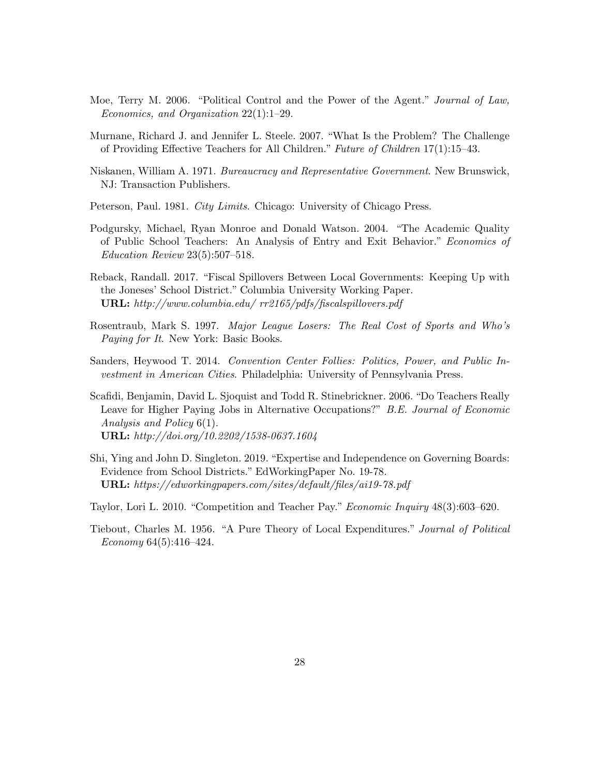- Moe, Terry M. 2006. "Political Control and the Power of the Agent." Journal of Law, Economics, and Organization 22(1):1–29.
- Murnane, Richard J. and Jennifer L. Steele. 2007. "What Is the Problem? The Challenge of Providing Effective Teachers for All Children." Future of Children 17(1):15–43.
- Niskanen, William A. 1971. Bureaucracy and Representative Government. New Brunswick, NJ: Transaction Publishers.
- Peterson, Paul. 1981. City Limits. Chicago: University of Chicago Press.
- Podgursky, Michael, Ryan Monroe and Donald Watson. 2004. "The Academic Quality of Public School Teachers: An Analysis of Entry and Exit Behavior." Economics of Education Review 23(5):507–518.
- Reback, Randall. 2017. "Fiscal Spillovers Between Local Governments: Keeping Up with the Joneses' School District." Columbia University Working Paper. URL: http://www.columbia.edu/ rr2165/pdfs/fiscalspillovers.pdf
- Rosentraub, Mark S. 1997. Major League Losers: The Real Cost of Sports and Who's Paying for It. New York: Basic Books.
- Sanders, Heywood T. 2014. Convention Center Follies: Politics, Power, and Public Investment in American Cities. Philadelphia: University of Pennsylvania Press.
- Scafidi, Benjamin, David L. Sjoquist and Todd R. Stinebrickner. 2006. "Do Teachers Really Leave for Higher Paying Jobs in Alternative Occupations?" B.E. Journal of Economic Analysis and Policy 6(1). URL: http://doi.org/10.2202/1538-0637.1604
- Shi, Ying and John D. Singleton. 2019. "Expertise and Independence on Governing Boards: Evidence from School Districts." EdWorkingPaper No. 19-78. URL: https://edworkingpapers.com/sites/default/files/ai19-78.pdf
- Taylor, Lori L. 2010. "Competition and Teacher Pay." Economic Inquiry 48(3):603–620.
- Tiebout, Charles M. 1956. "A Pure Theory of Local Expenditures." Journal of Political Economy 64(5):416–424.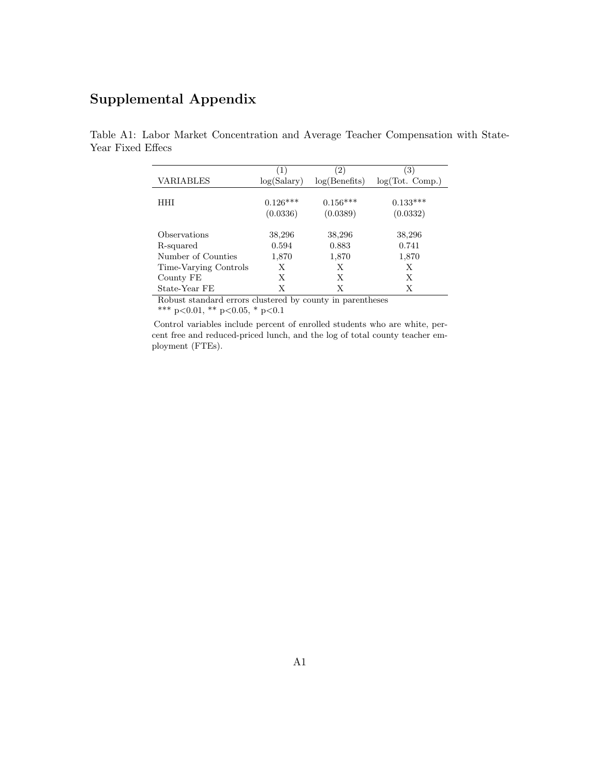# Supplemental Appendix

|                       | $\left(1\right)$ | $^{^{\prime}2)}$ | $\left(3\right)$ |
|-----------------------|------------------|------------------|------------------|
| VARIABLES             | log(Salary)      | log(Benefits)    | log(Tot. Comp.)  |
|                       |                  |                  |                  |
| HHI                   | $0.126***$       | $0.156***$       | $0.133***$       |
|                       | (0.0336)         | (0.0389)         | (0.0332)         |
| Observations          | 38,296           | 38,296           | 38,296           |
| R-squared             | 0.594            | 0.883            | 0.741            |
| Number of Counties    | 1,870            | 1,870            | 1,870            |
| Time-Varying Controls | Х                | Х                | Х                |
| County FE             | Х                | Х                | Х                |
| State-Year FE         |                  | X                |                  |

Table A1: Labor Market Concentration and Average Teacher Compensation with State-Year Fixed Effecs

> Robust standard errors clustered by county in parentheses \*\*\* p<0.01, \*\* p<0.05, \* p<0.1

Control variables include percent of enrolled students who are white, percent free and reduced-priced lunch, and the log of total county teacher employment (FTEs).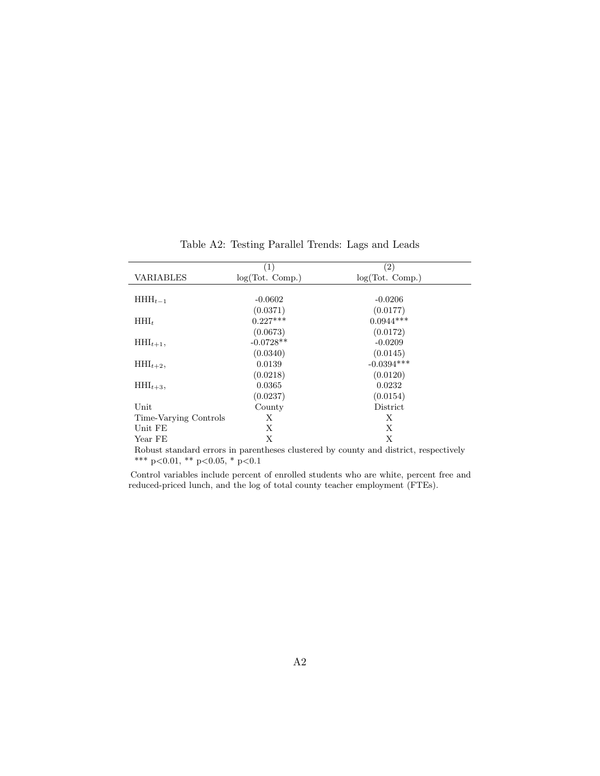| VARIABLES                                                                            | $\left( 1\right)$<br>log(Tot. Comp.) | $\left( 2\right)$<br>log(Tot. Comp.) |  |
|--------------------------------------------------------------------------------------|--------------------------------------|--------------------------------------|--|
|                                                                                      |                                      |                                      |  |
| $HHH_{t-1}$                                                                          | $-0.0602$                            | $-0.0206$                            |  |
|                                                                                      | (0.0371)                             | (0.0177)                             |  |
| $HHI_t$                                                                              | $0.227***$                           | $0.0944***$                          |  |
|                                                                                      | (0.0673)                             | (0.0172)                             |  |
| $HHI_{t+1}$ ,                                                                        | $-0.0728**$                          | $-0.0209$                            |  |
|                                                                                      | (0.0340)                             | (0.0145)                             |  |
| $HHI_{t+2}$ ,                                                                        | 0.0139                               | $-0.0394***$                         |  |
|                                                                                      | (0.0218)                             | (0.0120)                             |  |
| $HHI_{t+3}$ ,                                                                        | 0.0365                               | 0.0232                               |  |
|                                                                                      | (0.0237)                             | (0.0154)                             |  |
| Unit                                                                                 | County                               | District                             |  |
| Time-Varying Controls                                                                | Х                                    | X                                    |  |
| Unit FE                                                                              | X                                    | X                                    |  |
| Year FE                                                                              | X                                    | X                                    |  |
| Robust standard errors in parentheses clustered by county and district, respectively |                                      |                                      |  |

Table A2: Testing Parallel Trends: Lags and Leads

\*\*\* p<0.01, \*\* p<0.05, \* p<0.1

Control variables include percent of enrolled students who are white, percent free and reduced-priced lunch, and the log of total county teacher employment (FTEs).